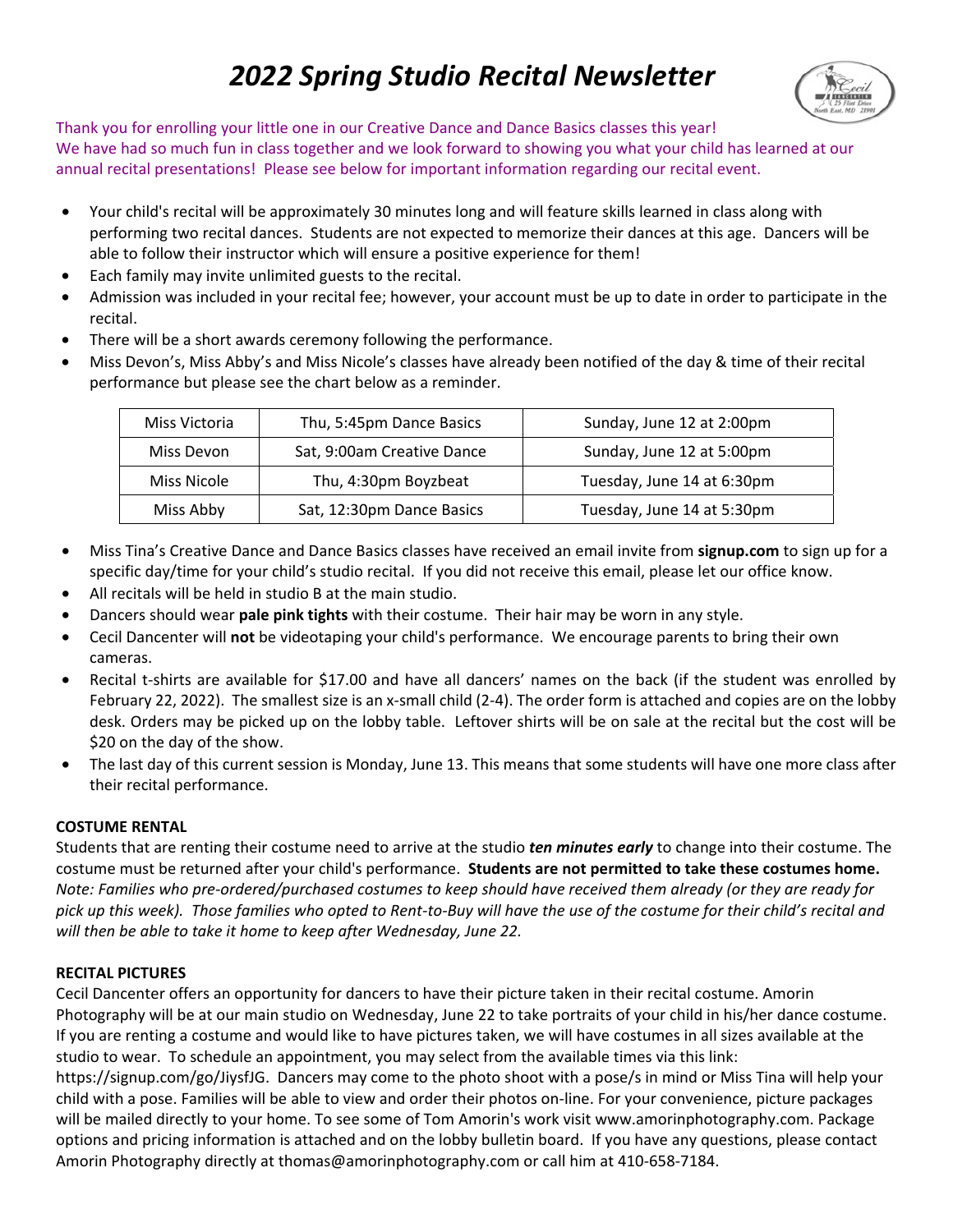# *2022 Spring Studio Recital Newsletter*



Thank you for enrolling your little one in our Creative Dance and Dance Basics classes this year! We have had so much fun in class together and we look forward to showing you what your child has learned at our annual recital presentations! Please see below for important information regarding our recital event.

- Your child's recital will be approximately 30 minutes long and will feature skills learned in class along with performing two recital dances. Students are not expected to memorize their dances at this age. Dancers will be able to follow their instructor which will ensure a positive experience for them!
- Each family may invite unlimited guests to the recital.
- Admission was included in your recital fee; however, your account must be up to date in order to participate in the recital.
- There will be a short awards ceremony following the performance.
- Miss Devon's, Miss Abby's and Miss Nicole's classes have already been notified of the day & time of their recital performance but please see the chart below as a reminder.

| Miss Victoria | Thu, 5:45pm Dance Basics   | Sunday, June 12 at 2:00pm  |
|---------------|----------------------------|----------------------------|
| Miss Devon    | Sat, 9:00am Creative Dance | Sunday, June 12 at 5:00pm  |
| Miss Nicole   | Thu, 4:30pm Boyzbeat       | Tuesday, June 14 at 6:30pm |
| Miss Abby     | Sat, 12:30pm Dance Basics  | Tuesday, June 14 at 5:30pm |

- Miss Tina's Creative Dance and Dance Basics classes have received an email invite from **signup.com** to sign up for a specific day/time for your child's studio recital. If you did not receive this email, please let our office know.
- All recitals will be held in studio B at the main studio.
- Dancers should wear **pale pink tights** with their costume. Their hair may be worn in any style.
- Cecil Dancenter will **not** be videotaping your child's performance. We encourage parents to bring their own cameras.
- Recital t-shirts are available for \$17.00 and have all dancers' names on the back (if the student was enrolled by February 22, 2022). The smallest size is an x-small child (2-4). The order form is attached and copies are on the lobby desk. Orders may be picked up on the lobby table. Leftover shirts will be on sale at the recital but the cost will be \$20 on the day of the show.
- The last day of this current session is Monday, June 13. This means that some students will have one more class after their recital performance.

# **COSTUME RENTAL**

Students that are renting their costume need to arrive at the studio *ten minutes early* to change into their costume. The costume must be returned after your child's performance. **Students are not permitted to take these costumes home.**  *Note: Families who pre-ordered/purchased costumes to keep should have received them already (or they are ready for pick up this week). Those families who opted to Rent-to-Buy will have the use of the costume for their child's recital and will then be able to take it home to keep after Wednesday, June 22.* 

# **RECITAL PICTURES**

Cecil Dancenter offers an opportunity for dancers to have their picture taken in their recital costume. Amorin Photography will be at our main studio on Wednesday, June 22 to take portraits of your child in his/her dance costume. If you are renting a costume and would like to have pictures taken, we will have costumes in all sizes available at the studio to wear. To schedule an appointment, you may select from the available times via this link: https://signup.com/go/JiysfJG. Dancers may come to the photo shoot with a pose/s in mind or Miss Tina will help your child with a pose. Families will be able to view and order their photos on-line. For your convenience, picture packages

will be mailed directly to your home. To see some of Tom Amorin's work visit www.amorinphotography.com. Package options and pricing information is attached and on the lobby bulletin board. If you have any questions, please contact Amorin Photography directly at thomas@amorinphotography.com or call him at 410-658-7184.